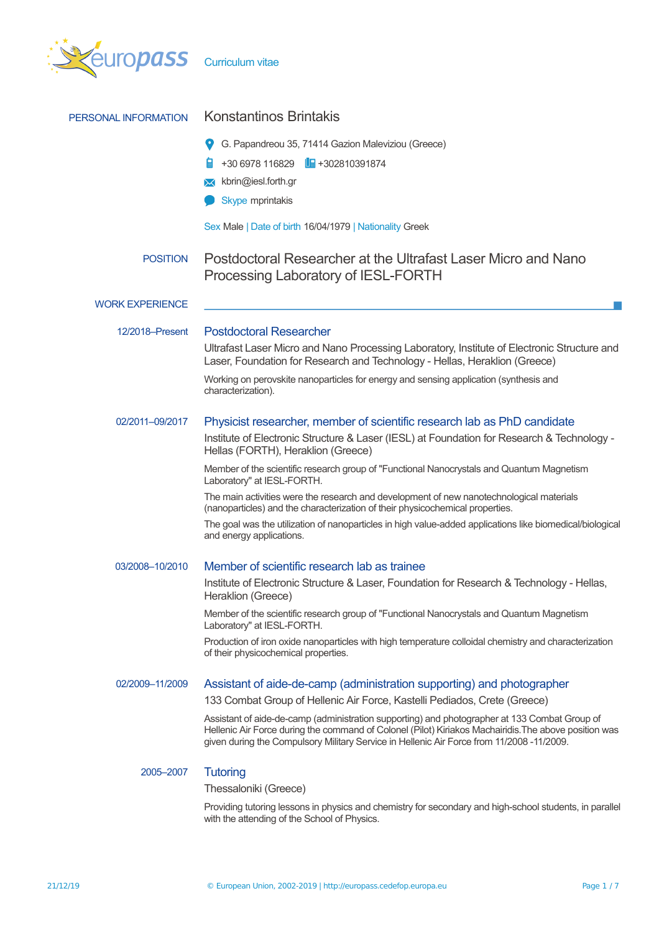

| PERSONAL INFORMATION   | <b>Konstantinos Brintakis</b>                                                                                                                                                                                                                                                                       |  |  |  |  |
|------------------------|-----------------------------------------------------------------------------------------------------------------------------------------------------------------------------------------------------------------------------------------------------------------------------------------------------|--|--|--|--|
|                        | G. Papandreou 35, 71414 Gazion Maleviziou (Greece)                                                                                                                                                                                                                                                  |  |  |  |  |
|                        | $+306978116829$ $\blacksquare$ $+302810391874$                                                                                                                                                                                                                                                      |  |  |  |  |
|                        | kbrin@iesl.forth.gr<br>ᢂ                                                                                                                                                                                                                                                                            |  |  |  |  |
|                        | Skype mprintakis                                                                                                                                                                                                                                                                                    |  |  |  |  |
|                        | Sex Male   Date of birth 16/04/1979   Nationality Greek                                                                                                                                                                                                                                             |  |  |  |  |
| <b>POSITION</b>        | Postdoctoral Researcher at the Ultrafast Laser Micro and Nano<br>Processing Laboratory of IESL-FORTH                                                                                                                                                                                                |  |  |  |  |
| <b>WORK EXPERIENCE</b> |                                                                                                                                                                                                                                                                                                     |  |  |  |  |
| 12/2018-Present        | <b>Postdoctoral Researcher</b>                                                                                                                                                                                                                                                                      |  |  |  |  |
|                        | Ultrafast Laser Micro and Nano Processing Laboratory, Institute of Electronic Structure and<br>Laser, Foundation for Research and Technology - Hellas, Heraklion (Greece)                                                                                                                           |  |  |  |  |
|                        | Working on perovskite nanoparticles for energy and sensing application (synthesis and<br>characterization).                                                                                                                                                                                         |  |  |  |  |
| 02/2011-09/2017        | Physicist researcher, member of scientific research lab as PhD candidate                                                                                                                                                                                                                            |  |  |  |  |
|                        | Institute of Electronic Structure & Laser (IESL) at Foundation for Research & Technology -<br>Hellas (FORTH), Heraklion (Greece)                                                                                                                                                                    |  |  |  |  |
|                        | Member of the scientific research group of "Functional Nanocrystals and Quantum Magnetism<br>Laboratory" at IESL-FORTH.                                                                                                                                                                             |  |  |  |  |
|                        | The main activities were the research and development of new nanotechnological materials<br>(nanoparticles) and the characterization of their physicochemical properties.                                                                                                                           |  |  |  |  |
|                        | The goal was the utilization of nanoparticles in high value-added applications like biomedical/biological<br>and energy applications.                                                                                                                                                               |  |  |  |  |
| 03/2008-10/2010        | Member of scientific research lab as trainee                                                                                                                                                                                                                                                        |  |  |  |  |
|                        | Institute of Electronic Structure & Laser, Foundation for Research & Technology - Hellas,<br>Heraklion (Greece)                                                                                                                                                                                     |  |  |  |  |
|                        | Member of the scientific research group of "Functional Nanocrystals and Quantum Magnetism<br>Laboratory" at IESL-FORTH.                                                                                                                                                                             |  |  |  |  |
|                        | Production of iron oxide nanoparticles with high temperature colloidal chemistry and characterization<br>of their physicochemical properties.                                                                                                                                                       |  |  |  |  |
| 02/2009-11/2009        | Assistant of aide-de-camp (administration supporting) and photographer                                                                                                                                                                                                                              |  |  |  |  |
|                        | 133 Combat Group of Hellenic Air Force, Kastelli Pediados, Crete (Greece)                                                                                                                                                                                                                           |  |  |  |  |
|                        | Assistant of aide-de-camp (administration supporting) and photographer at 133 Combat Group of<br>Hellenic Air Force during the command of Colonel (Pilot) Kiriakos Machairidis. The above position was<br>given during the Compulsory Military Service in Hellenic Air Force from 11/2008 -11/2009. |  |  |  |  |
| 2005-2007              | <b>Tutoring</b>                                                                                                                                                                                                                                                                                     |  |  |  |  |
|                        | Thessaloniki (Greece)                                                                                                                                                                                                                                                                               |  |  |  |  |
|                        | Providing tutoring lessons in physics and chemistry for secondary and high-school students, in parallel<br>with the attending of the School of Physics.                                                                                                                                             |  |  |  |  |
|                        |                                                                                                                                                                                                                                                                                                     |  |  |  |  |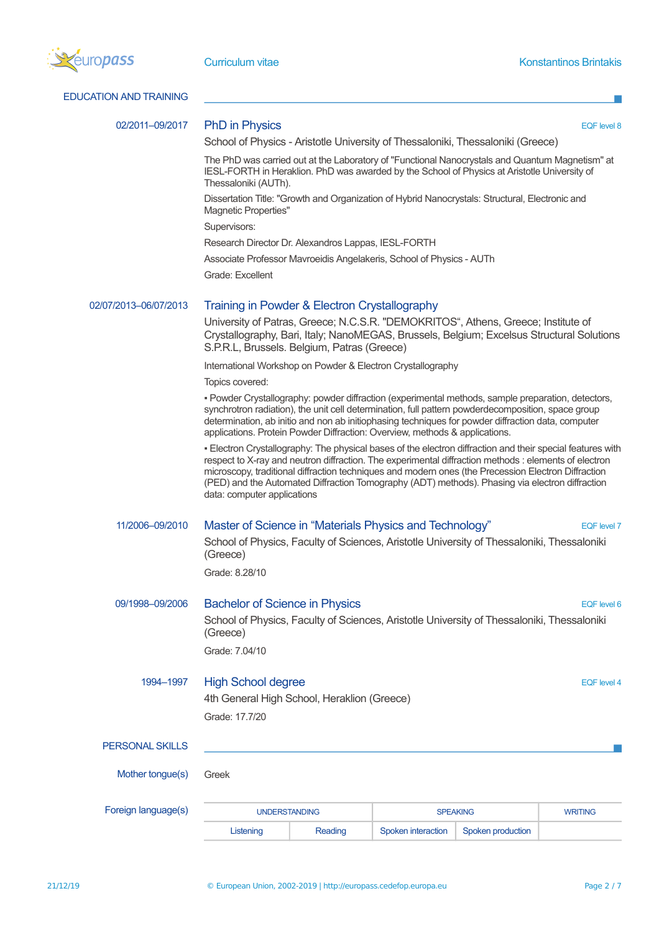

| <b>EDUCATION AND TRAINING</b> |                                                                                                                                                                                                                                                                                                                                                                                                                                                              |         |                    |                   |                    |  |
|-------------------------------|--------------------------------------------------------------------------------------------------------------------------------------------------------------------------------------------------------------------------------------------------------------------------------------------------------------------------------------------------------------------------------------------------------------------------------------------------------------|---------|--------------------|-------------------|--------------------|--|
| 02/2011-09/2017               | <b>PhD in Physics</b>                                                                                                                                                                                                                                                                                                                                                                                                                                        |         |                    |                   | <b>EQF</b> level 8 |  |
|                               | School of Physics - Aristotle University of Thessaloniki, Thessaloniki (Greece)                                                                                                                                                                                                                                                                                                                                                                              |         |                    |                   |                    |  |
|                               | The PhD was carried out at the Laboratory of "Functional Nanocrystals and Quantum Magnetism" at<br>IESL-FORTH in Heraklion. PhD was awarded by the School of Physics at Aristotle University of<br>Thessaloniki (AUTh).                                                                                                                                                                                                                                      |         |                    |                   |                    |  |
|                               | Dissertation Title: "Growth and Organization of Hybrid Nanocrystals: Structural, Electronic and<br>Magnetic Properties"                                                                                                                                                                                                                                                                                                                                      |         |                    |                   |                    |  |
|                               | Supervisors:                                                                                                                                                                                                                                                                                                                                                                                                                                                 |         |                    |                   |                    |  |
|                               | Research Director Dr. Alexandros Lappas, IESL-FORTH                                                                                                                                                                                                                                                                                                                                                                                                          |         |                    |                   |                    |  |
|                               | Associate Professor Mavroeidis Angelakeris, School of Physics - AUTh                                                                                                                                                                                                                                                                                                                                                                                         |         |                    |                   |                    |  |
|                               | Grade: Excellent                                                                                                                                                                                                                                                                                                                                                                                                                                             |         |                    |                   |                    |  |
| 02/07/2013-06/07/2013         | Training in Powder & Electron Crystallography                                                                                                                                                                                                                                                                                                                                                                                                                |         |                    |                   |                    |  |
|                               | University of Patras, Greece; N.C.S.R. "DEMOKRITOS", Athens, Greece; Institute of<br>Crystallography, Bari, Italy; NanoMEGAS, Brussels, Belgium; Excelsus Structural Solutions<br>S.P.R.L, Brussels. Belgium, Patras (Greece)                                                                                                                                                                                                                                |         |                    |                   |                    |  |
|                               | International Workshop on Powder & Electron Crystallography                                                                                                                                                                                                                                                                                                                                                                                                  |         |                    |                   |                    |  |
|                               | Topics covered:                                                                                                                                                                                                                                                                                                                                                                                                                                              |         |                    |                   |                    |  |
|                               | · Powder Crystallography: powder diffraction (experimental methods, sample preparation, detectors,<br>synchrotron radiation), the unit cell determination, full pattern powderdecomposition, space group<br>determination, ab initio and non ab initiophasing techniques for powder diffraction data, computer<br>applications. Protein Powder Diffraction: Overview, methods & applications.                                                                |         |                    |                   |                    |  |
|                               | - Electron Crystallography: The physical bases of the electron diffraction and their special features with<br>respect to X-ray and neutron diffraction. The experimental diffraction methods : elements of electron<br>microscopy, traditional diffraction techniques and modern ones (the Precession Electron Diffraction<br>(PED) and the Automated Diffraction Tomography (ADT) methods). Phasing via electron diffraction<br>data: computer applications |         |                    |                   |                    |  |
| 11/2006-09/2010               | Master of Science in "Materials Physics and Technology"                                                                                                                                                                                                                                                                                                                                                                                                      |         |                    |                   | <b>EQF</b> level 7 |  |
|                               | School of Physics, Faculty of Sciences, Aristotle University of Thessaloniki, Thessaloniki<br>(Greece)                                                                                                                                                                                                                                                                                                                                                       |         |                    |                   |                    |  |
|                               | Grade: 8.28/10                                                                                                                                                                                                                                                                                                                                                                                                                                               |         |                    |                   |                    |  |
| 09/1998-09/2006               | <b>Bachelor of Science in Physics</b><br>EQF level 6                                                                                                                                                                                                                                                                                                                                                                                                         |         |                    |                   |                    |  |
|                               | School of Physics, Faculty of Sciences, Aristotle University of Thessaloniki, Thessaloniki<br>(Greece)                                                                                                                                                                                                                                                                                                                                                       |         |                    |                   |                    |  |
|                               | Grade: 7.04/10                                                                                                                                                                                                                                                                                                                                                                                                                                               |         |                    |                   |                    |  |
| 1994-1997                     | <b>High School degree</b><br><b>EQF</b> level 4<br>4th General High School, Heraklion (Greece)                                                                                                                                                                                                                                                                                                                                                               |         |                    |                   |                    |  |
|                               | Grade: 17.7/20                                                                                                                                                                                                                                                                                                                                                                                                                                               |         |                    |                   |                    |  |
|                               |                                                                                                                                                                                                                                                                                                                                                                                                                                                              |         |                    |                   |                    |  |
| <b>PERSONAL SKILLS</b>        |                                                                                                                                                                                                                                                                                                                                                                                                                                                              |         |                    |                   |                    |  |
| Mother tongue(s)              | Greek                                                                                                                                                                                                                                                                                                                                                                                                                                                        |         |                    |                   |                    |  |
| Foreign language(s)           | <b>UNDERSTANDING</b>                                                                                                                                                                                                                                                                                                                                                                                                                                         |         |                    | <b>SPEAKING</b>   | <b>WRITING</b>     |  |
|                               | Listening                                                                                                                                                                                                                                                                                                                                                                                                                                                    | Reading | Spoken interaction | Spoken production |                    |  |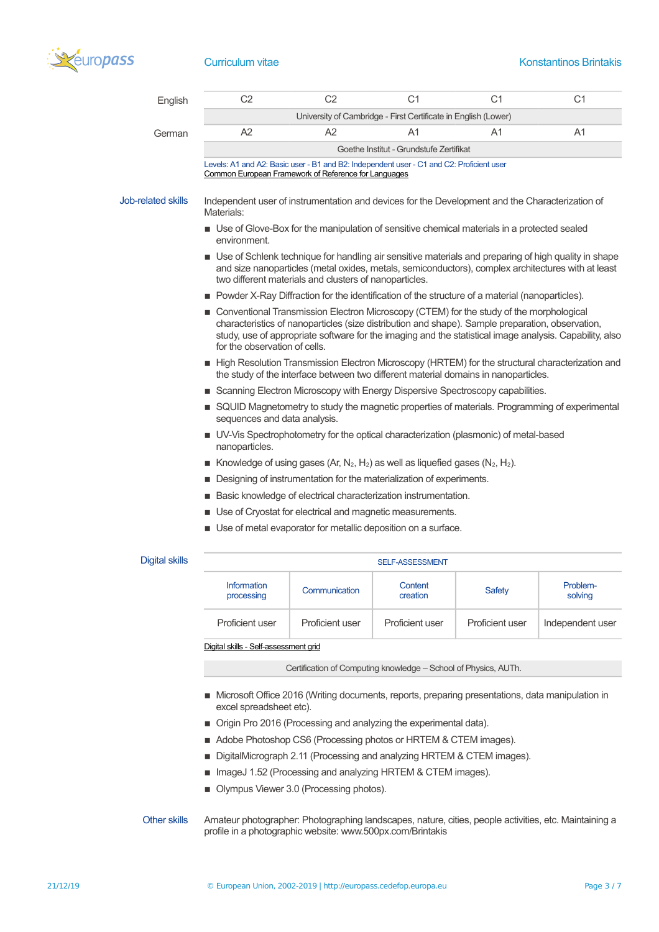

| English                   | C <sub>2</sub>                                                                                                                                                                                                                                                                                                                            | C <sub>2</sub>                                                                                                                                   | C <sub>1</sub>         | C <sub>1</sub>                                                                                                                                                                                               | C <sub>1</sub> |  |  |
|---------------------------|-------------------------------------------------------------------------------------------------------------------------------------------------------------------------------------------------------------------------------------------------------------------------------------------------------------------------------------------|--------------------------------------------------------------------------------------------------------------------------------------------------|------------------------|--------------------------------------------------------------------------------------------------------------------------------------------------------------------------------------------------------------|----------------|--|--|
|                           |                                                                                                                                                                                                                                                                                                                                           | University of Cambridge - First Certificate in English (Lower)                                                                                   |                        |                                                                                                                                                                                                              |                |  |  |
| German                    | A2                                                                                                                                                                                                                                                                                                                                        | A2                                                                                                                                               | A1                     | A1                                                                                                                                                                                                           | A1             |  |  |
|                           |                                                                                                                                                                                                                                                                                                                                           | Goethe Institut - Grundstufe Zertifikat                                                                                                          |                        |                                                                                                                                                                                                              |                |  |  |
|                           |                                                                                                                                                                                                                                                                                                                                           | Levels: A1 and A2: Basic user - B1 and B2: Independent user - C1 and C2: Proficient user<br>Common European Framework of Reference for Languages |                        |                                                                                                                                                                                                              |                |  |  |
| <b>Job-related skills</b> | Independent user of instrumentation and devices for the Development and the Characterization of<br>Materials:                                                                                                                                                                                                                             |                                                                                                                                                  |                        |                                                                                                                                                                                                              |                |  |  |
|                           | environment.                                                                                                                                                                                                                                                                                                                              |                                                                                                                                                  |                        | ■ Use of Glove-Box for the manipulation of sensitive chemical materials in a protected sealed                                                                                                                |                |  |  |
|                           |                                                                                                                                                                                                                                                                                                                                           | two different materials and clusters of nanoparticles.                                                                                           |                        | ■ Use of Schlenk technique for handling air sensitive materials and preparing of high quality in shape<br>and size nanoparticles (metal oxides, metals, semiconductors), complex architectures with at least |                |  |  |
|                           | Powder X-Ray Diffraction for the identification of the structure of a material (nanoparticles).                                                                                                                                                                                                                                           |                                                                                                                                                  |                        |                                                                                                                                                                                                              |                |  |  |
|                           | ■ Conventional Transmission Electron Microscopy (CTEM) for the study of the morphological<br>characteristics of nanoparticles (size distribution and shape). Sample preparation, observation,<br>study, use of appropriate software for the imaging and the statistical image analysis. Capability, also<br>for the observation of cells. |                                                                                                                                                  |                        |                                                                                                                                                                                                              |                |  |  |
|                           | High Resolution Transmission Electron Microscopy (HRTEM) for the structural characterization and<br>the study of the interface between two different material domains in nanoparticles.                                                                                                                                                   |                                                                                                                                                  |                        |                                                                                                                                                                                                              |                |  |  |
|                           | Scanning Electron Microscopy with Energy Dispersive Spectroscopy capabilities.                                                                                                                                                                                                                                                            |                                                                                                                                                  |                        |                                                                                                                                                                                                              |                |  |  |
|                           | SQUID Magnetometry to study the magnetic properties of materials. Programming of experimental<br>sequences and data analysis.                                                                                                                                                                                                             |                                                                                                                                                  |                        |                                                                                                                                                                                                              |                |  |  |
|                           | ■ UV-Vis Spectrophotometry for the optical characterization (plasmonic) of metal-based<br>nanoparticles.                                                                                                                                                                                                                                  |                                                                                                                                                  |                        |                                                                                                                                                                                                              |                |  |  |
|                           | Knowledge of using gases (Ar, $N_2$ , $H_2$ ) as well as liquefied gases ( $N_2$ , $H_2$ ).<br>٠                                                                                                                                                                                                                                          |                                                                                                                                                  |                        |                                                                                                                                                                                                              |                |  |  |
|                           | Designing of instrumentation for the materialization of experiments.<br>п                                                                                                                                                                                                                                                                 |                                                                                                                                                  |                        |                                                                                                                                                                                                              |                |  |  |
|                           | Basic knowledge of electrical characterization instrumentation.                                                                                                                                                                                                                                                                           |                                                                                                                                                  |                        |                                                                                                                                                                                                              |                |  |  |
|                           | Use of Cryostat for electrical and magnetic measurements.                                                                                                                                                                                                                                                                                 |                                                                                                                                                  |                        |                                                                                                                                                                                                              |                |  |  |
|                           | ■ Use of metal evaporator for metallic deposition on a surface.                                                                                                                                                                                                                                                                           |                                                                                                                                                  |                        |                                                                                                                                                                                                              |                |  |  |
| Digital skills            |                                                                                                                                                                                                                                                                                                                                           |                                                                                                                                                  | <b>SELE-ASSESSMENT</b> |                                                                                                                                                                                                              |                |  |  |

## igital skills

| <b>Information</b><br>processing | Communication   | Content<br>creation | Safety          | Problem-<br>solving |  |  |
|----------------------------------|-----------------|---------------------|-----------------|---------------------|--|--|
| Proficient user                  | Proficient user | Proficient user     | Proficient user | Independent user    |  |  |
|                                  |                 |                     |                 |                     |  |  |

[Digital skills - Self-assessment grid](http://europass.cedefop.europa.eu/en/resources/digital-competences)

Certification of Computing knowledge – School of Physics, AUTh.

- Microsoft Office 2016 (Writing documents, reports, preparing presentations, data manipulation in excel spreadsheet etc).
- Origin Pro 2016 (Processing and analyzing the experimental data).
- Adobe Photoshop CS6 (Processing photos or HRTEM & CTEM images).
- DigitalMicrograph 2.11 (Processing and analyzing HRTEM & CTEM images).
- ImageJ 1.52 (Processing and analyzing HRTEM & CTEM images).
- **Dimpus Viewer 3.0 (Processing photos).**
- Other skills Amateur photographer: Photographing landscapes, nature, cities, people activities, etc. Maintaining a profile in a photographic website: www.500px.com/Brintakis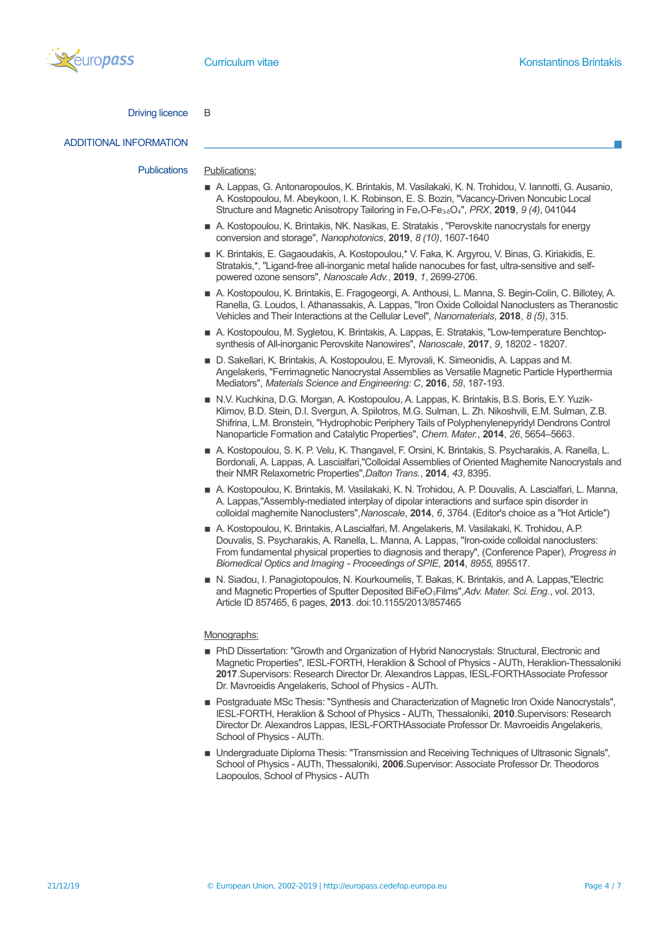

### Driving licence B

# ADDITIONAL INFORMATION

Publications Publications:

- A. Lappas, G. Antonaropoulos, K. Brintakis, M. Vasilakaki, K. N. Trohidou, V. Iannotti, G. Ausanio, A. Kostopoulou, M. Abeykoon, I. K. Robinson, E. S. Bozin, "Vacancy-Driven Noncubic Local Structure and Magnetic Anisotropy Tailoring in FexO-Fe3-δO4", *PRX*, **2019**, *9 (4)*, 041044
- A. Kostopoulou, K. Brintakis, NK. Nasikas, E. Stratakis , "Perovskite nanocrystals for energy conversion and storage", *Nanophotonics*, **2019**, *8 (10)*, 1607-1640
- K. Brintakis, E. Gagaoudakis, A. Kostopoulou,\* V. Faka, K. Argyrou, V. Binas, G. Kiriakidis, E. Stratakis,\*, "Ligand-free all-inorganic metal halide nanocubes for fast, ultra-sensitive and selfpowered ozone sensors", *Nanoscale Adv.*, **2019**, *1*, 2699-2706.
- A. Kostopoulou, K. Brintakis, E. Fragogeorgi, A. Anthousi, L. Manna, S. Begin-Colin, C. Billotey, A. Ranella, G. Loudos, I. Athanassakis, A. Lappas, "Iron Oxide Colloidal Nanoclusters as Theranostic Vehicles and Their Interactions at the Cellular Level", *Nanomaterials*, **2018**, *8 (5)*, 315.
- A. Kostopoulou, M. Sygletou, K. Brintakis, A. Lappas, E. Stratakis, "Low-temperature Benchtopsynthesis of All-inorganic Perovskite Nanowires", *Nanoscale*, **2017**, *9*, 18202 - 18207.
- D. Sakellari, K. Brintakis, A. Kostopoulou, E. Myrovali, K. Simeonidis, A. Lappas and M. Angelakeris, "Ferrimagnetic Nanocrystal Assemblies as Versatile Magnetic Particle Hyperthermia Mediators", *Materials Science and Engineering: C*, **2016**, *58*, 187-193.
- N.V. Kuchkina, D.G. Morgan, A. Kostopoulou, A. Lappas, K. Brintakis, B.S. Boris, E.Y. Yuzik-Klimov, B.D. Stein, D.I. Svergun, A. Spilotros, M.G. Sulman, L. Zh. Nikoshvili, E.M. Sulman, Z.B. Shifrina, L.M. Bronstein, "Hydrophobic Periphery Tails of Polyphenylenepyridyl Dendrons Control Nanoparticle Formation and Catalytic Properties", *Chem. Mater.*, **2014**, *26*, 5654–5663.
- A. Kostopoulou, S. K. P. Velu, K. Thangavel, F. Orsini, K. Brintakis, S. Psycharakis, A. Ranella, L. Bordonali, A. Lappas, A. Lascialfari,"Colloidal Assemblies of Oriented Maghemite Nanocrystals and their NMR Relaxometric Properties",*Dalton Trans.*, **2014**, *43*, 8395.
- A. Kostopoulou, K. Brintakis, M. Vasilakaki, K. N. Trohidou, A. P. Douvalis, A. Lascialfari, L. Manna, A. Lappas,"Assembly-mediated interplay of dipolar interactions and surface spin disorder in colloidal maghemite Nanoclusters",*Nanoscale*, **2014**, *6*, 3764. (Editor's choice as a "Hot Article")
- A. Kostopoulou, K. Brintakis, A Lascialfari, M. Angelakeris, M. Vasilakaki, K. Trohidou, A.P. Douvalis, S. Psycharakis, A. Ranella, L. Manna, A. Lappas, "Iron-oxide colloidal nanoclusters: From fundamental physical properties to diagnosis and therapy", (Conference Paper), *Progress in Biomedical Optics and Imaging - Proceedings of SPIE,* **2014**, *8955,* 895517.
- N. Siadou, I. Panagiotopoulos, N. Kourkoumelis, T. Bakas, K. Brintakis, and A. Lappas,"Electric and Magnetic Properties of Sputter Deposited BiFeO<sub>3</sub>Films", Adv. Mater. Sci. Eng., vol. 2013, Article ID 857465, 6 pages, **2013**. doi:10.1155/2013/857465

### Monographs:

- **PhD Dissertation: "Growth and Organization of Hybrid Nanocrystals: Structural, Electronic and** Magnetic Properties", IESL-FORTH, Heraklion & School of Physics - AUTh, Heraklion-Thessaloniki **2017**.Supervisors: Research Director Dr. Alexandros Lappas, IESL-FORTHAssociate Professor Dr. Mavroeidis Angelakeris, School of Physics - AUTh.
- **Postgraduate MSc Thesis: "Synthesis and Characterization of Magnetic Iron Oxide Nanocrystals",** IESL-FORTH, Heraklion & School of Physics - AUTh, Thessaloniki, **2010**.Supervisors: Research Director Dr. Alexandros Lappas, IESL-FORTHAssociate Professor Dr. Mavroeidis Angelakeris, School of Physics - AUTh.
- **Undergraduate Diploma Thesis: "Transmission and Receiving Techniques of Ultrasonic Signals",** School of Physics - AUTh, Thessaloniki, **2006**.Supervisor: Associate Professor Dr. Theodoros Laopoulos, School of Physics - AUTh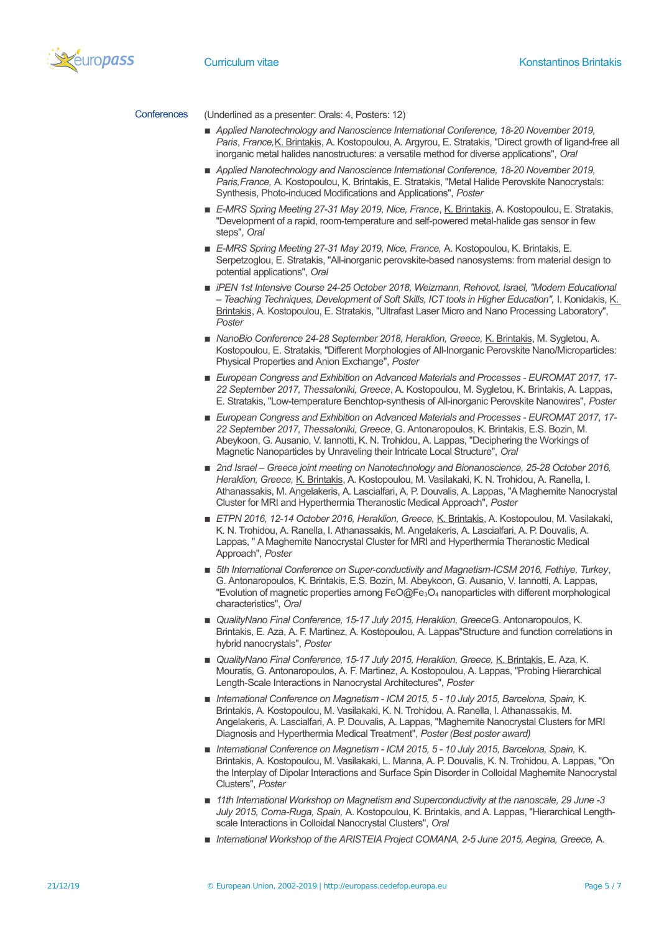

Conferences (Underlined as a presenter: Orals: 4, Posters: 12)

- *Applied Nanotechnology and Nanoscience International Conference, 18-20 November 2019, Paris*, *France,*K. Brintakis, A. Kostopoulou, A. Argyrou, E. Stratakis, "Direct growth of ligand-free all inorganic metal halides nanostructures: a versatile method for diverse applications", *Oral*
- Applied Nanotechnology and Nanoscience International Conference, 18-20 November 2019, *Paris,France,* A. Kostopoulou, K. Brintakis, E. Stratakis, "Metal Halide Perovskite Nanocrystals: Synthesis, Photo-induced Modifications and Applications", *Poster*
- E-MRS Spring Meeting 27-31 May 2019, Nice, France, K. Brintakis, A. Kostopoulou, E. Stratakis, "Development of a rapid, room-temperature and self-powered metal-halide gas sensor in few steps", *Oral*
- *E-MRS Spring Meeting 27-31 May 2019, Nice, France, A. Kostopoulou, K. Brintakis, E.* Serpetzoglou, E. Stratakis, "All-inorganic perovskite-based nanosystems: from material design to potential applications", *Oral*
- *iPEN 1st Intensive Course 24-25 October 2018, Weizmann, Rehovot, Israel, "Modern Educational – Teaching Techniques, Development of Soft Skills, ICT tools in Higher Education",* I. Konidakis, K. Brintakis, A. Kostopoulou, E. Stratakis, "Ultrafast Laser Micro and Nano Processing Laboratory", *Poster*
- *NanoBio Conference 24-28 September 2018, Heraklion, Greece, K. Brintakis, M. Sygletou, A.* Kostopoulou, E. Stratakis, "Different Morphologies of All-Inorganic Perovskite Nano/Microparticles: Physical Properties and Anion Exchange", *Poster*
- *European Congress and Exhibition on Advanced Materials and Processes EUROMAT 2017, 17- 22 September 2017, Thessaloniki, Greece*, A. Kostopoulou, M. Sygletou, K. Brintakis, A. Lappas, E. Stratakis, "Low-temperature Benchtop-synthesis of All-inorganic Perovskite Nanowires", *Poster*
- *European Congress and Exhibition on Advanced Materials and Processes EUROMAT 2017, 17- 22 September 2017, Thessaloniki, Greece*, G. Antonaropoulos, K. Brintakis, E.S. Bozin, M. Abeykoon, G. Ausanio, V. Iannotti, K. N. Trohidou, A. Lappas, "Deciphering the Workings of Magnetic Nanoparticles by Unraveling their Intricate Local Structure", *Oral*
- 2nd Israel Greece joint meeting on Nanotechnology and Bionanoscience, 25-28 October 2016, *Heraklion, Greece,* K. Brintakis, A. Kostopoulou, M. Vasilakaki, K. N. Trohidou, A. Ranella, I. Athanassakis, M. Angelakeris, A. Lascialfari, A. P. Douvalis, A. Lappas, "A Maghemite Nanocrystal Cluster for MRI and Hyperthermia Theranostic Medical Approach", *Poster*
- *ETPN 2016, 12-14 October 2016, Heraklion, Greece, K. Brintakis, A. Kostopoulou, M. Vasilakaki,* K. N. Trohidou, A. Ranella, I. Athanassakis, M. Angelakeris, A. Lascialfari, A. P. Douvalis, A. Lappas, " A Maghemite Nanocrystal Cluster for MRI and Hyperthermia Theranostic Medical Approach", *Poster*
- **■** 5th International Conference on Super-conductivity and Magnetism-ICSM 2016, Fethive, Turkey, G. Antonaropoulos, K. Brintakis, E.S. Bozin, M. Abeykoon, G. Ausanio, V. Iannotti, A. Lappas, "Evolution of magnetic properties among FeO@Fe<sub>3</sub>O<sub>4</sub> nanoparticles with different morphological characteristics", *Oral*
- *QualityNano Final Conference, 15-17 July 2015, Heraklion, Greece*G. Antonaropoulos, K. Brintakis, E. Aza, A. F. Martinez, A. Kostopoulou, A. Lappas"Structure and function correlations in hybrid nanocrystals", *Poster*
- *QualityNano Final Conference, 15-17 July 2015, Heraklion, Greece,* K. Brintakis, E. Aza, K. Mouratis, G. Antonaropoulos, A. F. Martinez, A. Kostopoulou, A. Lappas, "Probing Hierarchical Length-Scale Interactions in Nanocrystal Architectures", *Poster*
- *International Conference on Magnetism ICM 2015, 5 10 July 2015, Barcelona, Spain,* K. Brintakis, A. Kostopoulou, M. Vasilakaki, K. N. Trohidou, A. Ranella, I. Athanassakis, M. Angelakeris, A. Lascialfari, A. P. Douvalis, A. Lappas, "Maghemite Nanocrystal Clusters for MRI Diagnosis and Hyperthermia Medical Treatment", *Poster (Best poster award)*
- *International Conference on Magnetism ICM 2015, 5 10 July 2015, Barcelona, Spain,* K. Brintakis, A. Kostopoulou, M. Vasilakaki, L. Manna, A. P. Douvalis, K. N. Trohidou, A. Lappas, "On the Interplay of Dipolar Interactions and Surface Spin Disorder in Colloidal Maghemite Nanocrystal Clusters", *Poster*
- 11th International Workshop on Magnetism and Superconductivity at the nanoscale, 29 June -3 *July 2015, Coma-Ruga, Spain,* A. Kostopoulou, K. Brintakis, and A. Lappas, "Hierarchical Lengthscale Interactions in Colloidal Nanocrystal Clusters", *Oral*
- *International Workshop of the ARISTEIA Project COMANA, 2-5 June 2015, Aegina, Greece,* A.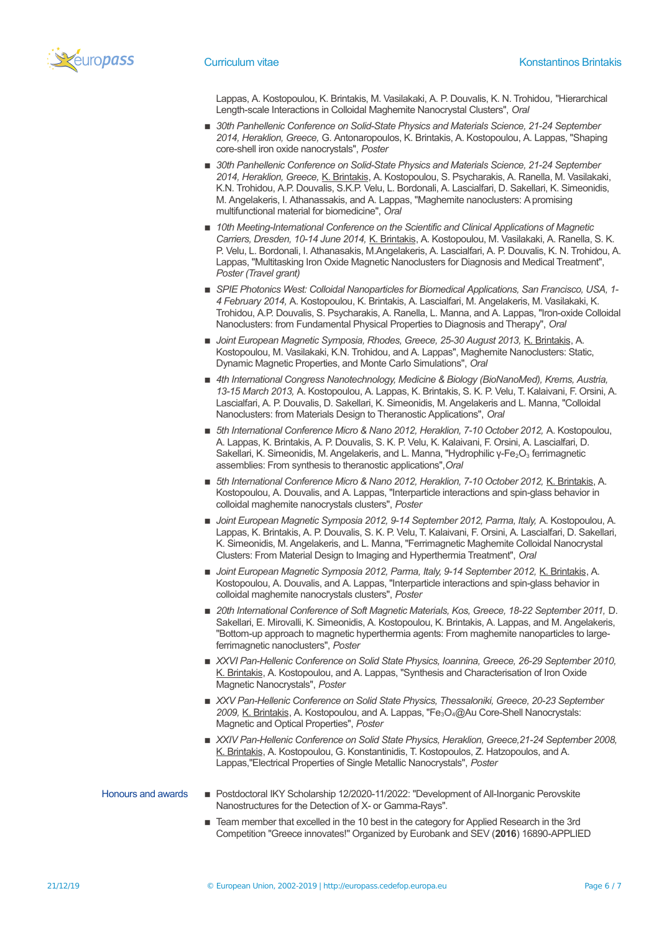

Lappas, A. Kostopoulou, K. Brintakis, M. Vasilakaki, A. P. Douvalis, K. N. Trohidou*,* "Hierarchical Length-scale Interactions in Colloidal Maghemite Nanocrystal Clusters", *Oral*

- 30th Panhellenic Conference on Solid-State Physics and Materials Science, 21-24 September *2014, Heraklion, Greece,* G. Antonaropoulos, K. Brintakis, A. Kostopoulou, A. Lappas, "Shaping core-shell iron oxide nanocrystals", *Poster*
- 30th Panhellenic Conference on Solid-State Physics and Materials Science, 21-24 September *2014, Heraklion, Greece,* K. Brintakis, A. Kostopoulou, S. Psycharakis, A. Ranella, M. Vasilakaki, K.N. Trohidou, A.P. Douvalis, S.K.P. Velu, L. Bordonali, A. Lascialfari, D. Sakellari, K. Simeonidis, M. Angelakeris, I. Athanassakis, and A. Lappas, "Maghemite nanoclusters: A promising multifunctional material for biomedicine", *Oral*
- 10th Meeting-International Conference on the Scientific and Clinical Applications of Magnetic *Carriers, Dresden, 10-14 June 2014,* K. Brintakis, A. Kostopoulou, M. Vasilakaki, A. Ranella, S. K. P. Velu, L. Bordonali, I. Athanasakis, M.Angelakeris, A. Lascialfari, A. P. Douvalis, K. N. Trohidou, A. Lappas, "Multitasking Iron Oxide Magnetic Nanoclusters for Diagnosis and Medical Treatment", *Poster (Travel grant)*
- *SPIE Photonics West: Colloidal Nanoparticles for Biomedical Applications, San Francisco, USA, 1-4 February 2014,* A. Kostopoulou, K. Brintakis, A. Lascialfari, M. Angelakeris, M. Vasilakaki, K. Trohidou, A.P. Douvalis, S. Psycharakis, A. Ranella, L. Manna, and A. Lappas, "Iron-oxide Colloidal Nanoclusters: from Fundamental Physical Properties to Diagnosis and Therapy", *Oral*
- **Joint European Magnetic Symposia, Rhodes, Greece, 25-30 August 2013, K. Brintakis, A.** Kostopoulou, M. Vasilakaki, K.N. Trohidou, and A. Lappas", Maghemite Nanoclusters: Static, Dynamic Magnetic Properties, and Monte Carlo Simulations", *Oral*
- 4th International Congress Nanotechnology, Medicine & Biology (BioNanoMed), Krems, Austria, *13-15 March 2013,* A. Kostopoulou, A. Lappas, K. Brintakis, S. K. P. Velu, T. Kalaivani, F. Orsini, A. Lascialfari, A. P. Douvalis, D. Sakellari, K. Simeonidis, Μ. Αngelakeris and L. Manna, "Colloidal Nanoclusters: from Materials Design to Theranostic Applications", *Oral*
- **E** 5th International Conference Micro & Nano 2012, Heraklion, 7-10 October 2012, A. Kostopoulou, A. Lappas, K. Brintakis, A. P. Douvalis, S. K. P. Velu, K. Kalaivani, F. Orsini, A. Lascialfari, D. Sakellari, K. Simeonidis, M. Angelakeris, and L. Manna, "Hydrophilic γ-Fe<sub>2</sub>O<sub>3</sub> ferrimagnetic assemblies: From synthesis to theranostic applications",*Oral*
- **5th International Conference Micro & Nano 2012, Heraklion, 7-10 October 2012, K. Brintakis, A.** Kostopoulou, A. Douvalis, and A. Lappas, "Interparticle interactions and spin-glass behavior in colloidal maghemite nanocrystals clusters", *Poster*
- Joint European Magnetic Symposia 2012, 9-14 September 2012, Parma, Italy, A. Kostopoulou, A. Lappas, K. Brintakis, A. P. Douvalis, S. K. P. Velu, T. Kalaivani, F. Orsini, A. Lascialfari, D. Sakellari, K. Simeonidis, Μ. Αngelakeris, and L. Manna, "Ferrimagnetic Maghemite Colloidal Nanocrystal Clusters: From Material Design to Imaging and Hyperthermia Treatment", *Oral*
- Joint European Magnetic Symposia 2012, Parma, Italy, 9-14 September 2012, K. Brintakis, A. Kostopoulou, A. Douvalis, and A. Lappas, "Interparticle interactions and spin-glass behavior in colloidal maghemite nanocrystals clusters", *Poster*
- 20th International Conference of Soft Magnetic Materials, Kos, Greece, 18-22 September 2011, D. Sakellari, E. Mirovalli, K. Simeonidis, A. Kostopoulou, K. Brintakis, A. Lappas, and M. Angelakeris, "Bottom-up approach to magnetic hyperthermia agents: From maghemite nanoparticles to largeferrimagnetic nanoclusters", *Poster*
- XXVI Pan-Hellenic Conference on Solid State Physics, Ioannina, Greece, 26-29 September 2010, K. Brintakis, A. Kostopoulou, and A. Lappas, "Synthesis and Characterisation of Iron Oxide Magnetic Nanocrystals", *Poster*
- *XXV Pan-Hellenic Conference on Solid State Physics, Thessaloniki, Greece, 20-23 September* 2009, K. Brintakis, A. Kostopoulou, and A. Lappas, "Fe<sub>3</sub>O<sub>4</sub>@Au Core-Shell Nanocrystals: Magnetic and Optical Properties", *Poster*
- XXIV Pan-Hellenic Conference on Solid State Physics, Heraklion, Greece,21-24 September 2008, K. Brintakis, A. Kostopoulou, G. Konstantinidis, T. Kostopoulos, Z. Hatzopoulos, and A. Lappas,"Electrical Properties of Single Metallic Nanocrystals", *Poster*
- Honours and awards **Exercice 20 Armstand Prostdoctoral IKY Scholarship 12/2020-11/2022: "Development of All-Inorganic Perovskite** Nanostructures for the Detection of X- or Gamma-Rays".
	- Team member that excelled in the 10 best in the category for Applied Research in the 3rd Competition "Greece innovates!" Organized by Eurobank and SEV (**2016**) 16890-APPLIED